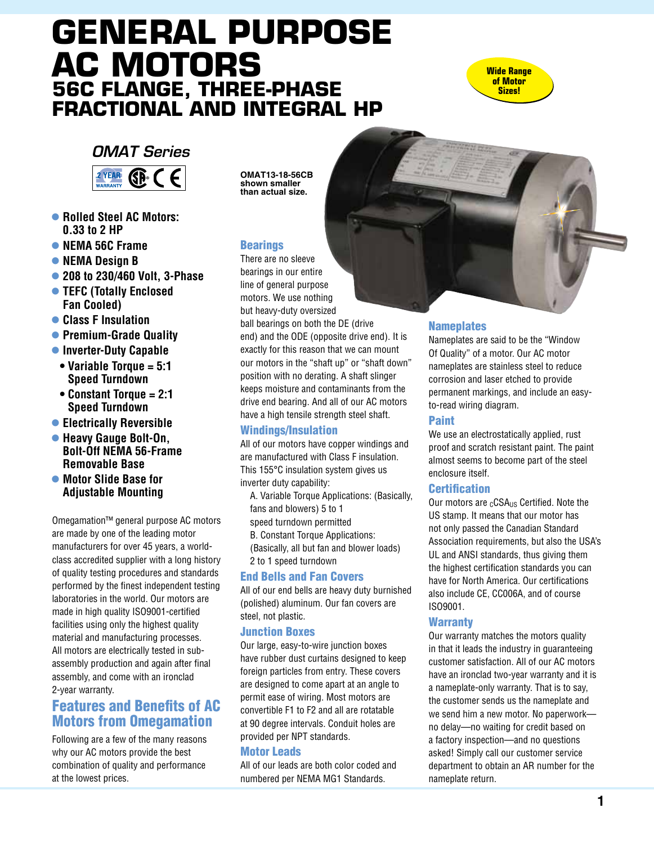# **General Purpose AC Motors 56C flange, three-phase Fractional and Integral HP**



## *OMAT Series*



- l **Rolled Steel AC Motors: 0.33 to 2 HP**
- l **NEMA 56C Frame**
- **NEMA Design B**
- l **208 to 230/460 Volt, 3-Phase**
- **TEFC (Totally Enclosed Fan Cooled)**
- **Class F Insulation**
- **Premium-Grade Quality**
- **Inverter-Duty Capable**
- **Variable Torque = 5:1 Speed Turndown**
- **Constant Torque = 2:1 Speed Turndown**
- **Electrically Reversible**
- **Heavy Gauge Bolt-On. Bolt-Off NEMA 56-Frame Removable Base**
- $\bullet$  **Motor Slide Base for Adjustable Mounting**

Omegamation™ general purpose AC motors are made by one of the leading motor manufacturers for over 45 years, a worldclass accredited supplier with a long history of quality testing procedures and standards performed by the finest independent testing laboratories in the world. Our motors are made in high quality ISO9001-certified facilities using only the highest quality material and manufacturing processes. All motors are electrically tested in subassembly production and again after final assembly, and come with an ironclad 2-year warranty.

## Features and Benefits of AC Motors from Omegamation

Following are a few of the many reasons why our AC motors provide the best combination of quality and performance at the lowest prices.

**OMAT13-18-56CB shown smaller than actual size.**

#### **Bearings**

There are no sleeve bearings in our entire line of general purpose motors. We use nothing but heavy-duty oversized

ball bearings on both the DE (drive end) and the ODE (opposite drive end). It is exactly for this reason that we can mount our motors in the "shaft up" or "shaft down" position with no derating. A shaft slinger keeps moisture and contaminants from the drive end bearing. And all of our AC motors have a high tensile strength steel shaft.

#### Windings/Insulation

All of our motors have copper windings and are manufactured with Class F insulation. This 155°C insulation system gives us inverter duty capability:

 A. Variable Torque Applications: (Basically, fans and blowers) 5 to 1

- speed turndown permitted
- B. Constant Torque Applications:
- (Basically, all but fan and blower loads) 2 to 1 speed turndown

#### End Bells and Fan Covers

All of our end bells are heavy duty burnished (polished) aluminum. Our fan covers are steel, not plastic.

#### Junction Boxes

Our large, easy-to-wire junction boxes have rubber dust curtains designed to keep foreign particles from entry. These covers are designed to come apart at an angle to permit ease of wiring. Most motors are convertible F1 to F2 and all are rotatable at 90 degree intervals. Conduit holes are provided per NPT standards.

#### Motor Leads

All of our leads are both color coded and numbered per NEMA MG1 Standards.



#### **Nameplates**

Nameplates are said to be the "Window Of Quality" of a motor. Our AC motor nameplates are stainless steel to reduce corrosion and laser etched to provide permanent markings, and include an easyto-read wiring diagram.

#### Paint

We use an electrostatically applied, rust proof and scratch resistant paint. The paint almost seems to become part of the steel enclosure itself.

#### **Certification**

Our motors are  $<sub>c</sub>CSA<sub>US</sub>$  Certified. Note the</sub> US stamp. It means that our motor has not only passed the Canadian Standard Association requirements, but also the USA's UL and ANSI standards, thus giving them the highest certification standards you can have for North America. Our certifications also include CE, CC006A, and of course ISO9001.

#### **Warranty**

Our warranty matches the motors quality in that it leads the industry in guaranteeing customer satisfaction. All of our AC motors have an ironclad two-year warranty and it is a nameplate-only warranty. That is to say, the customer sends us the nameplate and we send him a new motor. No paperwork no delay—no waiting for credit based on a factory inspection—and no questions asked! Simply call our customer service department to obtain an AR number for the nameplate return.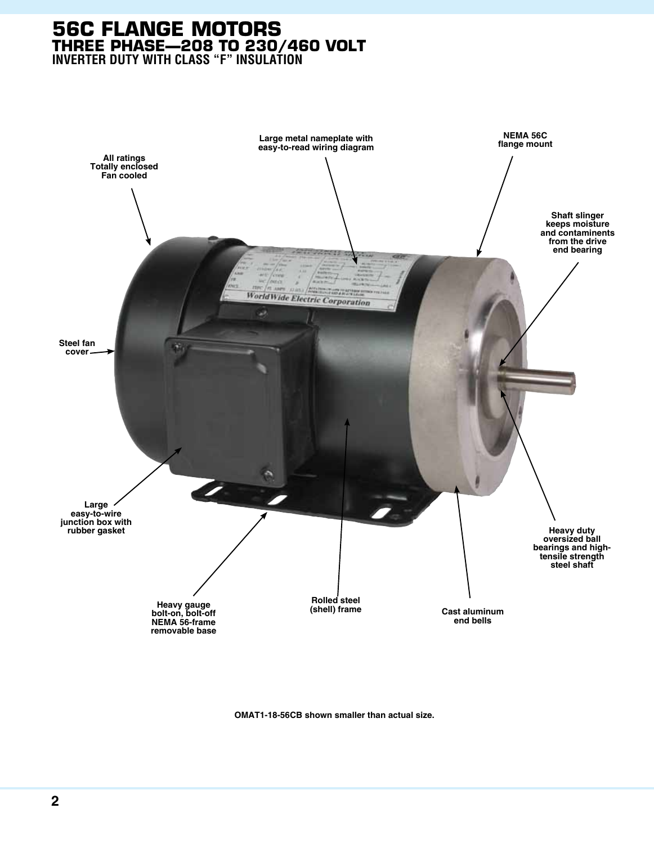### **56C Flange Motors three phase—208 to 230/460 Volt Inverter Duty with Class "F" Insulation**



**OMAT1-18-56CB shown smaller than actual size.**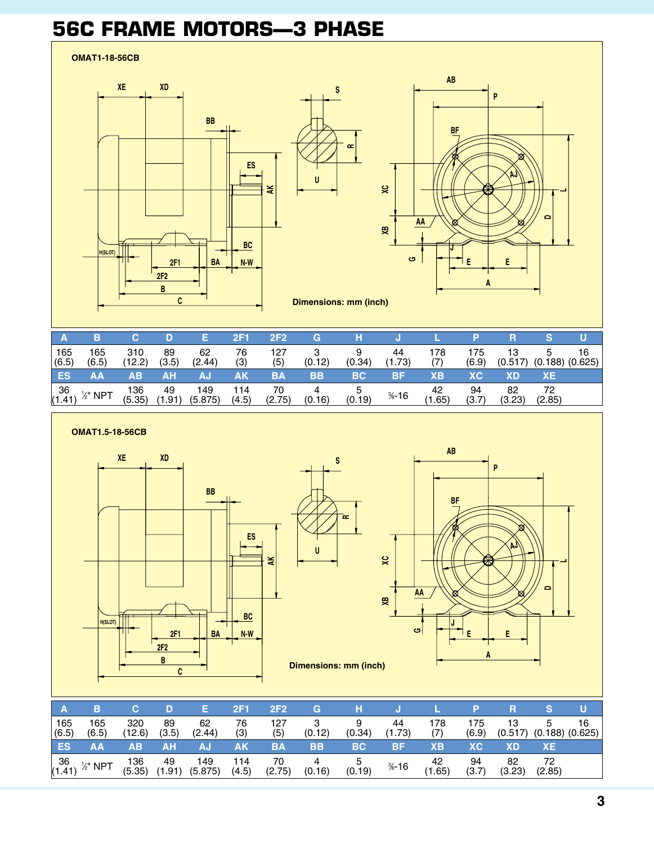## **56C Frame Motors—3 phase**



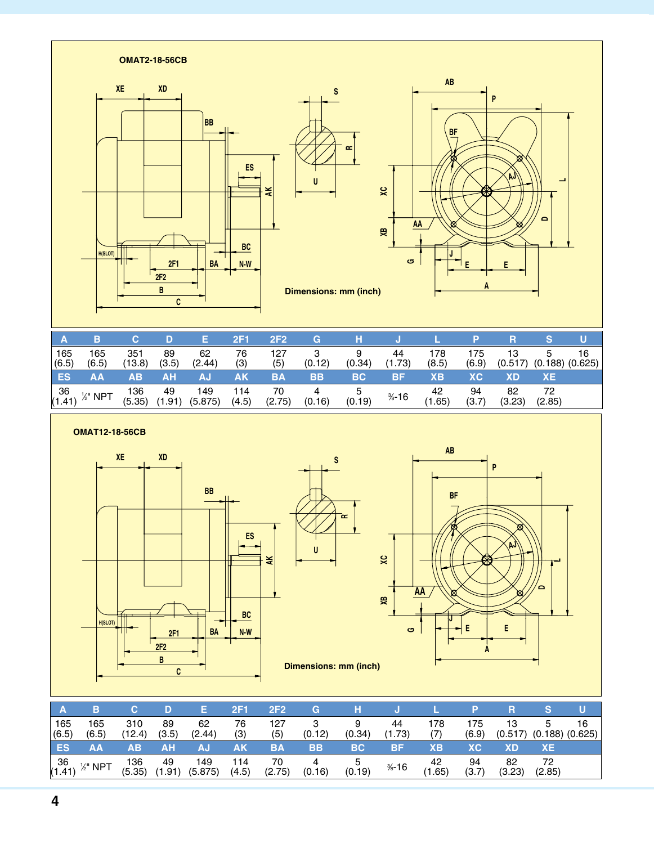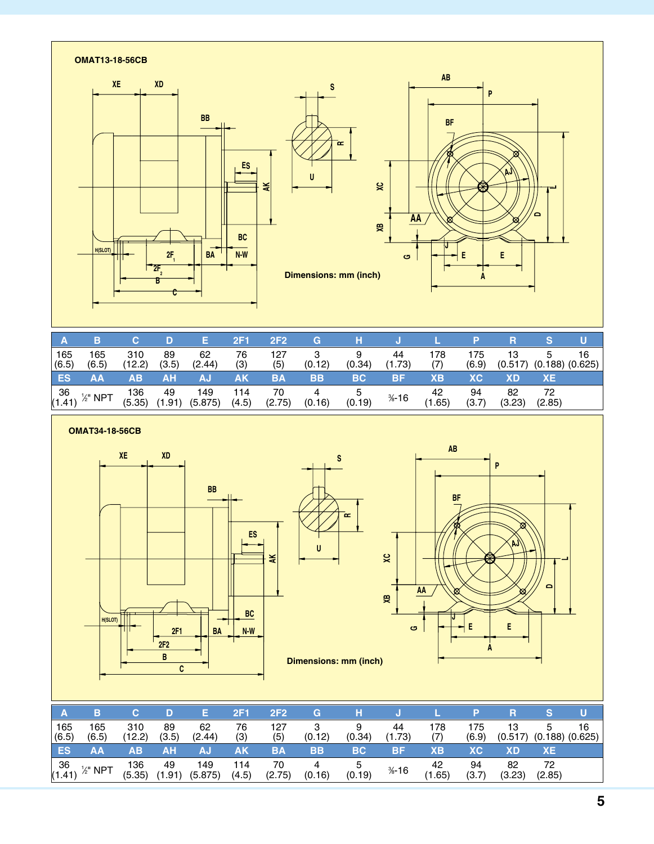

|              | в                   |               |             |                | 2F1          | 2F <sub>2</sub> | G         |           |              |                        |              |               |              | U                         |
|--------------|---------------------|---------------|-------------|----------------|--------------|-----------------|-----------|-----------|--------------|------------------------|--------------|---------------|--------------|---------------------------|
| 165<br>(6.5) | 165<br>(6.5)        | 310<br>(12.2) | 89<br>(3.5) | 62<br>(2.44)   | 76<br>(3)    | 127<br>(5)      | (0.12)    | (0.34)    | 44<br>(1.73) | 178<br>(7)             | 175<br>(6.9) | 13<br>(0.517) | 5            | 16<br>$(0.188)$ $(0.625)$ |
| <b>ES</b>    | AΑ                  | ΑВ            | AΗ          |                | AK           | BA              | <b>BB</b> | <b>BC</b> | BF           | XВ                     | ХC           | XD            | <b>XE</b>    |                           |
| 36<br>(1.41) | $\frac{1}{2}$ " NPT | 136<br>(5.35) | 49<br>1.91  | 149<br>(5.875) | 114<br>(4.5) | 70<br>(2.75)    | (0.16)    | (0.19)    | $% -16$      | 42<br>.65 <sup>1</sup> | 94<br>(3.7)  | 82<br>(3.23)  | 72<br>(2.85) |                           |

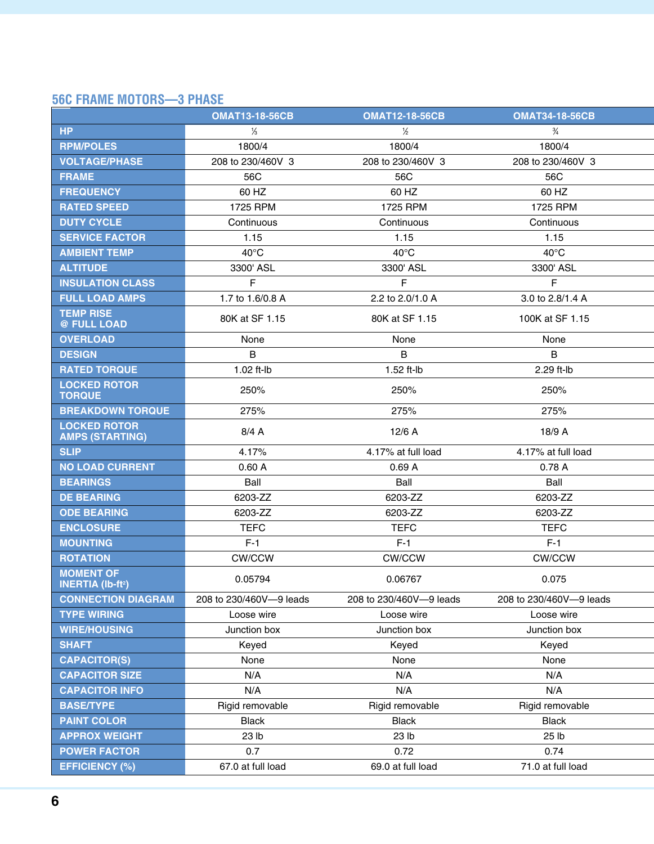### **56C frame motors—3 phase**

|                                                        | <b>OMAT13-18-56CB</b>   | <b>OMAT12-18-56CB</b>   | <b>OMAT34-18-56CB</b>   |
|--------------------------------------------------------|-------------------------|-------------------------|-------------------------|
| HP                                                     | $\frac{1}{3}$           | $\frac{1}{2}$           | $\frac{3}{4}$           |
| <b>RPM/POLES</b>                                       | 1800/4                  | 1800/4                  | 1800/4                  |
| <b>VOLTAGE/PHASE</b>                                   | 208 to 230/460V 3       | 208 to 230/460V 3       | 208 to 230/460V 3       |
| <b>FRAME</b>                                           | 56C                     | 56C                     | 56C                     |
| <b>FREQUENCY</b>                                       | 60 HZ                   | 60 HZ                   | 60 HZ                   |
| <b>RATED SPEED</b>                                     | 1725 RPM                | 1725 RPM                | 1725 RPM                |
| <b>DUTY CYCLE</b>                                      | Continuous              | Continuous              | Continuous              |
| <b>SERVICE FACTOR</b>                                  | 1.15                    | 1.15                    | 1.15                    |
| <b>AMBIENT TEMP</b>                                    | $40^{\circ}$ C          | $40^{\circ}$ C          | $40^{\circ}$ C          |
| <b>ALTITUDE</b>                                        | 3300' ASL               | 3300' ASL               | 3300' ASL               |
| <b>INSULATION CLASS</b>                                | F.                      | F.                      | F.                      |
| <b>FULL LOAD AMPS</b>                                  | 1.7 to 1.6/0.8 A        | 2.2 to 2.0/1.0 A        | 3.0 to 2.8/1.4 A        |
| <b>TEMP RISE</b><br>@ FULL LOAD                        | 80K at SF 1.15          | 80K at SF 1.15          | 100K at SF 1.15         |
| <b>OVERLOAD</b>                                        | None                    | None                    | None                    |
| <b>DESIGN</b>                                          | $\mathsf{B}$            | B                       | $\sf B$                 |
| <b>RATED TORQUE</b>                                    | $1.02$ ft-lb            | $1.52$ ft-lb            | 2.29 ft-lb              |
| <b>LOCKED ROTOR</b><br><b>TORQUE</b>                   | 250%                    | 250%                    | 250%                    |
| <b>BREAKDOWN TORQUE</b>                                | 275%                    | 275%                    | 275%                    |
| <b>LOCKED ROTOR</b><br><b>AMPS (STARTING)</b>          | 8/4A                    | 12/6A                   | 18/9 A                  |
| <b>SLIP</b>                                            | 4.17%                   | 4.17% at full load      | 4.17% at full load      |
| <b>NO LOAD CURRENT</b>                                 | 0.60A                   | 0.69A                   | 0.78 A                  |
| <b>BEARINGS</b>                                        | Ball                    | Ball                    | Ball                    |
| <b>DE BEARING</b>                                      | 6203-ZZ                 | 6203-ZZ                 | 6203-ZZ                 |
| <b>ODE BEARING</b>                                     | 6203-ZZ                 | 6203-ZZ                 | 6203-ZZ                 |
| <b>ENCLOSURE</b>                                       | <b>TEFC</b>             | <b>TEFC</b>             | <b>TEFC</b>             |
| <b>MOUNTING</b>                                        | $F-1$                   | $F-1$                   | $F-1$                   |
| <b>ROTATION</b>                                        | <b>CW/CCW</b>           | CW/CCW                  | CW/CCW                  |
| <b>MOMENT OF</b><br><b>INERTIA (Ib-ft<sup>2</sup>)</b> | 0.05794                 | 0.06767                 | 0.075                   |
| <b>CONNECTION DIAGRAM</b>                              | 208 to 230/460V-9 leads | 208 to 230/460V-9 leads | 208 to 230/460V-9 leads |
| <b>TYPE WIRING</b>                                     | Loose wire              | Loose wire              | Loose wire              |
| <b>WIRE/HOUSING</b>                                    | Junction box            | Junction box            | Junction box            |
| <b>SHAFT</b>                                           | Keyed                   | Keyed                   | Keyed                   |
| <b>CAPACITOR(S)</b>                                    | None                    | None                    | None                    |
| <b>CAPACITOR SIZE</b>                                  | N/A                     | N/A                     | N/A                     |
| <b>CAPACITOR INFO</b>                                  | N/A                     | N/A                     | N/A                     |
| <b>BASE/TYPE</b>                                       | Rigid removable         | Rigid removable         | Rigid removable         |
| <b>PAINT COLOR</b>                                     | <b>Black</b>            | <b>Black</b>            | Black                   |
| <b>APPROX WEIGHT</b>                                   | 23 lb                   | 23 <sub>lb</sub>        | 25 <sub>lb</sub>        |
| <b>POWER FACTOR</b>                                    | 0.7                     | 0.72                    | 0.74                    |
| <b>EFFICIENCY (%)</b>                                  | 67.0 at full load       | 69.0 at full load       | 71.0 at full load       |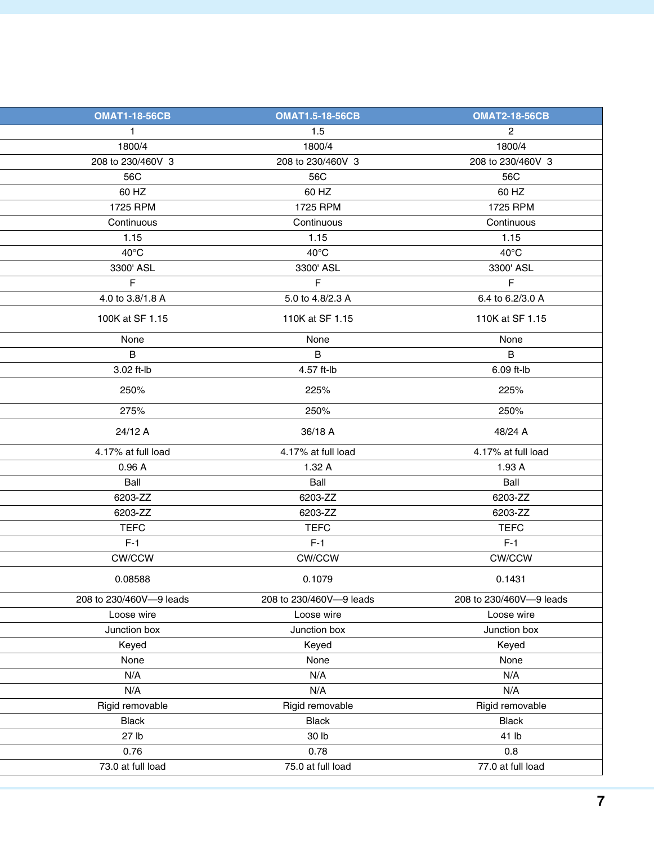| <b>OMAT1-18-56CB</b>    | <b>OMAT1.5-18-56CB</b>  | <b>OMAT2-18-56CB</b>    |
|-------------------------|-------------------------|-------------------------|
| $\mathbf{1}$            | 1.5                     | $2^{\circ}$             |
| 1800/4                  | 1800/4                  | 1800/4                  |
| 208 to 230/460V 3       | 208 to 230/460V 3       | 208 to 230/460V 3       |
| 56C                     | 56C                     | 56C                     |
| 60 HZ                   | 60 HZ                   | 60 HZ                   |
| 1725 RPM                | 1725 RPM                | 1725 RPM                |
| Continuous              | Continuous              | Continuous              |
| 1.15                    | 1.15                    | 1.15                    |
| $40^{\circ}$ C          | $40^{\circ}$ C          | $40^{\circ}$ C          |
| 3300' ASL               | 3300' ASL               | 3300' ASL               |
| F                       | F                       | F                       |
| 4.0 to 3.8/1.8 A        | 5.0 to 4.8/2.3 A        | 6.4 to 6.2/3.0 A        |
| 100K at SF 1.15         | 110K at SF 1.15         | 110K at SF 1.15         |
| None                    | None                    | None                    |
| B                       | $\mathsf B$             | $\mathsf B$             |
| 3.02 ft-lb              | 4.57 ft-lb              | 6.09 ft-lb              |
| 250%                    | 225%                    | 225%                    |
| 275%                    | 250%                    | 250%                    |
| 24/12 A                 | 36/18 A                 | 48/24 A                 |
| 4.17% at full load      | 4.17% at full load      | 4.17% at full load      |
| 0.96A                   | 1.32A                   | 1.93A                   |
| Ball                    | Ball                    | Ball                    |
| 6203-ZZ                 | 6203-ZZ                 | 6203-ZZ                 |
| 6203-ZZ                 | 6203-ZZ                 | 6203-ZZ                 |
| <b>TEFC</b>             | <b>TEFC</b>             | <b>TEFC</b>             |
| $F-1$                   | $F-1$                   | $F-1$                   |
| <b>CW/CCW</b>           | CW/CCW                  | <b>CW/CCW</b>           |
| 0.08588                 | 0.1079                  | 0.1431                  |
| 208 to 230/460V-9 leads | 208 to 230/460V-9 leads | 208 to 230/460V-9 leads |
| Loose wire              | Loose wire              | Loose wire              |
| Junction box            | Junction box            | Junction box            |
| Keyed                   | Keyed                   | Keyed                   |
| None                    | None                    | None                    |
| N/A                     | N/A                     | N/A                     |
| N/A                     | N/A                     | N/A                     |
| Rigid removable         | Rigid removable         | Rigid removable         |
| Black                   | <b>Black</b>            | <b>Black</b>            |
| 27 lb                   | 30 lb                   | 41 lb                   |
| 0.76                    | 0.78                    | 0.8                     |
| 73.0 at full load       | 75.0 at full load       | 77.0 at full load       |